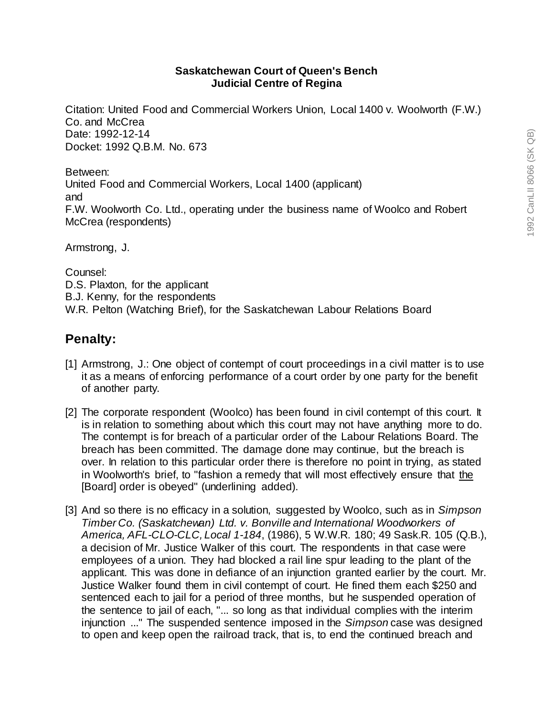## **Saskatchewan Court of Queen's Bench Judicial Centre of Regina**

Citation: United Food and Commercial Workers Union, Local 1400 v. Woolworth (F.W.) Co. and McCrea Date: 1992-12-14 Docket: 1992 Q.B.M. No. 673

Between: United Food and Commercial Workers, Local 1400 (applicant) and F.W. Woolworth Co. Ltd., operating under the business name of Woolco and Robert McCrea (respondents)

Armstrong, J.

Counsel: D.S. Plaxton, for the applicant B.J. Kenny, for the respondents W.R. Pelton (Watching Brief), for the Saskatchewan Labour Relations Board

## **Penalty:**

- [1] Armstrong, J.: One object of contempt of court proceedings in a civil matter is to use it as a means of enforcing performance of a court order by one party for the benefit of another party.
- [2] The corporate respondent (Woolco) has been found in civil contempt of this court. It is in relation to something about which this court may not have anything more to do. The contempt is for breach of a particular order of the Labour Relations Board. The breach has been committed. The damage done may continue, but the breach is over. In relation to this particular order there is therefore no point in trying, as stated in Woolworth's brief, to "fashion a remedy that will most effectively ensure that the [Board] order is obeyed" (underlining added).
- [3] And so there is no efficacy in a solution, suggested by Woolco, such as in *Simpson Timber Co. (Saskatchewan) Ltd. v. Bonville and International Woodworkers of America, AFL-CLO-CLC, Local 1-184*, (1986), 5 W.W.R. 180; 49 Sask.R. 105 (Q.B.), a decision of Mr. Justice Walker of this court. The respondents in that case were employees of a union. They had blocked a rail line spur leading to the plant of the applicant. This was done in defiance of an injunction granted earlier by the court. Mr. Justice Walker found them in civil contempt of court. He fined them each \$250 and sentenced each to jail for a period of three months, but he suspended operation of the sentence to jail of each, "... so long as that individual complies with the interim injunction ..." The suspended sentence imposed in the *Simpson* case was designed to open and keep open the railroad track, that is, to end the continued breach and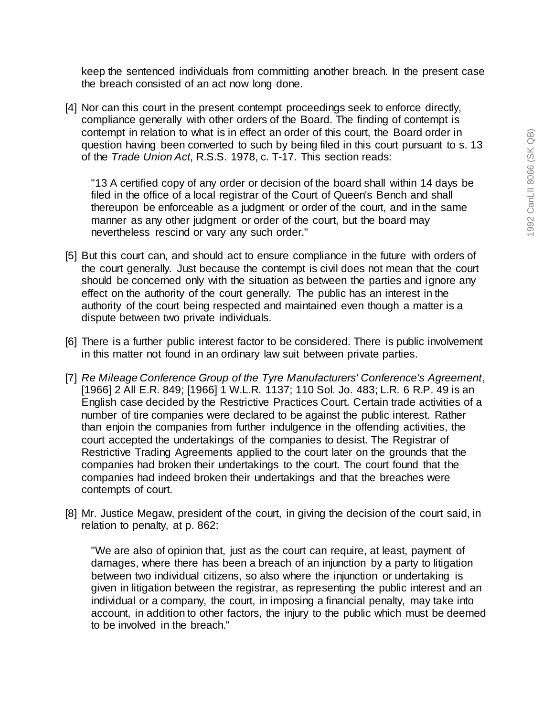keep the sentenced individuals from committing another breach. In the present case the breach consisted of an act now long done.

[4] Nor can this court in the present contempt proceedings seek to enforce directly, compliance generally with other orders of the Board. The finding of contempt is contempt in relation to what is in effect an order of this court, the Board order in question having been converted to such by being filed in this court pursuant to s. 13 of the *Trade Union Act*, R.S.S. 1978, c. T-17. This section reads:

"13 A certified copy of any order or decision of the board shall within 14 days be filed in the office of a local registrar of the Court of Queen's Bench and shall thereupon be enforceable as a judgment or order of the court, and in the same manner as any other judgment or order of the court, but the board may nevertheless rescind or vary any such order."

- [5] But this court can, and should act to ensure compliance in the future with orders of the court generally. Just because the contempt is civil does not mean that the court should be concerned only with the situation as between the parties and ignore any effect on the authority of the court generally. The public has an interest in the authority of the court being respected and maintained even though a matter is a dispute between two private individuals.
- [6] There is a further public interest factor to be considered. There is public involvement in this matter not found in an ordinary law suit between private parties.
- [7] *Re Mileage Conference Group of the Tyre Manufacturers' Conference's Agreement*, [1966] 2 All E.R. 849; [1966] 1 W.L.R. 1137; 110 Sol. Jo. 483; L.R. 6 R.P. 49 is an English case decided by the Restrictive Practices Court. Certain trade activities of a number of tire companies were declared to be against the public interest. Rather than enjoin the companies from further indulgence in the offending activities, the court accepted the undertakings of the companies to desist. The Registrar of Restrictive Trading Agreements applied to the court later on the grounds that the companies had broken their undertakings to the court. The court found that the companies had indeed broken their undertakings and that the breaches were contempts of court.
- [8] Mr. Justice Megaw, president of the court, in giving the decision of the court said, in relation to penalty, at p. 862:

"We are also of opinion that, just as the court can require, at least, payment of damages, where there has been a breach of an injunction by a party to litigation between two individual citizens, so also where the injunction or undertaking is given in litigation between the registrar, as representing the public interest and an individual or a company, the court, in imposing a financial penalty, may take into account, in addition to other factors, the injury to the public which must be deemed to be involved in the breach."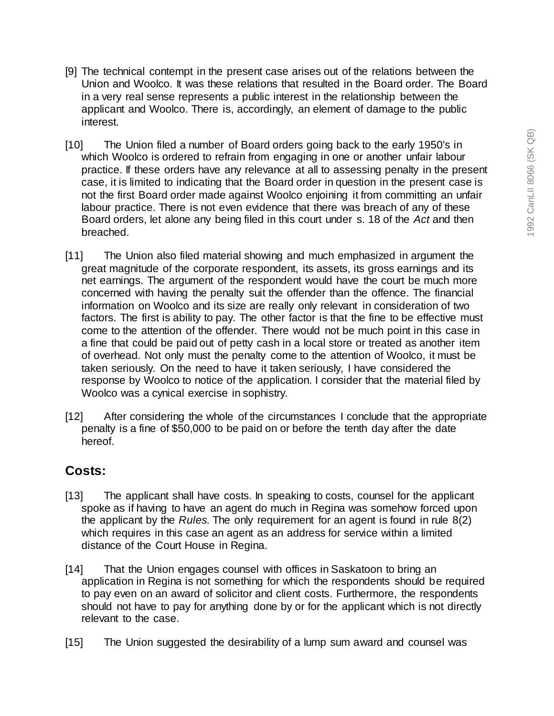- [9] The technical contempt in the present case arises out of the relations between the Union and Woolco. It was these relations that resulted in the Board order. The Board in a very real sense represents a public interest in the relationship between the applicant and Woolco. There is, accordingly, an element of damage to the public interest.
- [10] The Union filed a number of Board orders going back to the early 1950's in which Woolco is ordered to refrain from engaging in one or another unfair labour practice. If these orders have any relevance at all to assessing penalty in the present case, it is limited to indicating that the Board order in question in the present case is not the first Board order made against Woolco enjoining it from committing an unfair labour practice. There is not even evidence that there was breach of any of these Board orders, let alone any being filed in this court under s. 18 of the *Act* and then breached.
- [11] The Union also filed material showing and much emphasized in argument the great magnitude of the corporate respondent, its assets, its gross earnings and its net earnings. The argument of the respondent would have the court be much more concerned with having the penalty suit the offender than the offence. The financial information on Woolco and its size are really only relevant in consideration of two factors. The first is ability to pay. The other factor is that the fine to be effective must come to the attention of the offender. There would not be much point in this case in a fine that could be paid out of petty cash in a local store or treated as another item of overhead. Not only must the penalty come to the attention of Woolco, it must be taken seriously. On the need to have it taken seriously, I have considered the response by Woolco to notice of the application. I consider that the material filed by Woolco was a cynical exercise in sophistry.
- [12] After considering the whole of the circumstances I conclude that the appropriate penalty is a fine of \$50,000 to be paid on or before the tenth day after the date hereof.

## **Costs:**

- [13] The applicant shall have costs. In speaking to costs, counsel for the applicant spoke as if having to have an agent do much in Regina was somehow forced upon the applicant by the *Rules.* The only requirement for an agent is found in rule 8(2) which requires in this case an agent as an address for service within a limited distance of the Court House in Regina.
- [14] That the Union engages counsel with offices in Saskatoon to bring an application in Regina is not something for which the respondents should be required to pay even on an award of solicitor and client costs. Furthermore, the respondents should not have to pay for anything done by or for the applicant which is not directly relevant to the case.
- [15] The Union suggested the desirability of a lump sum award and counsel was